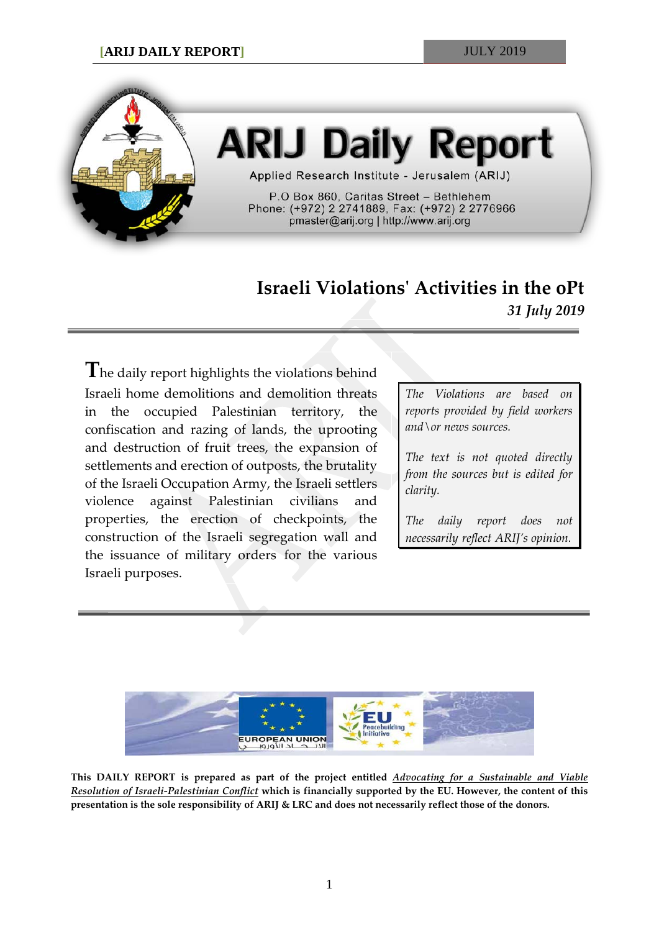

# **ARIJ Daily Report**

Applied Research Institute - Jerusalem (ARIJ)

P.O Box 860, Caritas Street - Bethlehem Phone: (+972) 2 2741889, Fax: (+972) 2 2776966 pmaster@arij.org | http://www.arij.org

## **Israeli Violations' Activities in the oPt** *31 July 2019*

**T**he daily report highlights the violations behind Israeli home demolitions and demolition threats in the occupied Palestinian territory, the confiscation and razing of lands, the uprooting and destruction of fruit trees, the expansion of settlements and erection of outposts, the brutality of the Israeli Occupation Army, the Israeli settlers violence against Palestinian civilians and properties, the erection of checkpoints, the construction of the Israeli segregation wall and the issuance of military orders for the various Israeli purposes.

*The Violations are based on reports provided by field workers and\or news sources.*

*The text is not quoted directly from the sources but is edited for clarity.*

*The daily report does not necessarily reflect ARIJ's opinion.*



**This DAILY REPORT is prepared as part of the project entitled** *Advocating for a Sustainable and Viable Resolution of Israeli-Palestinian Conflict* **which is financially supported by the EU. However, the content of this presentation is the sole responsibility of ARIJ & LRC and does not necessarily reflect those of the donors.**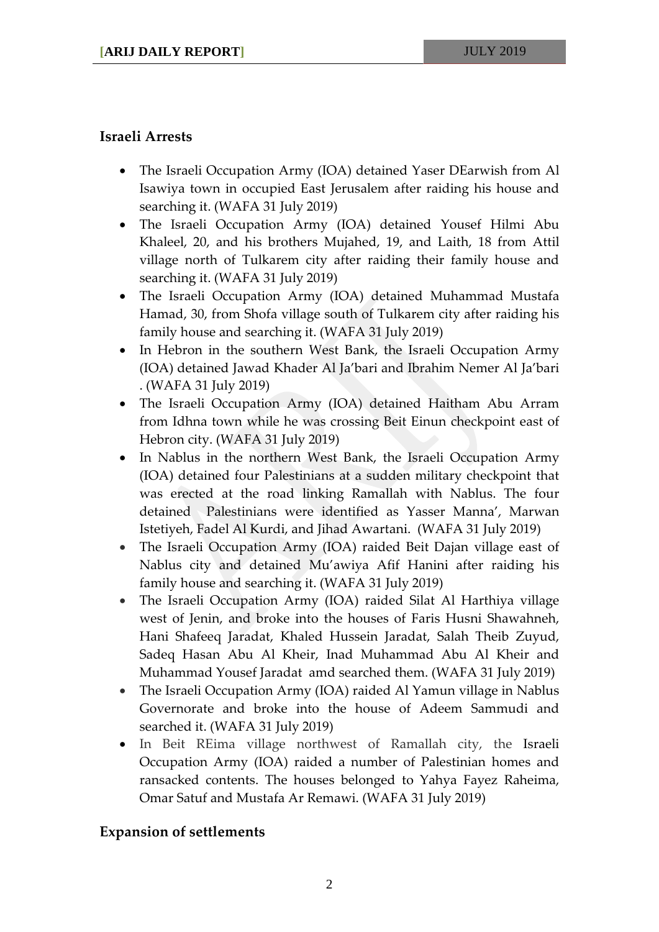### **Israeli Arrests**

- The Israeli Occupation Army (IOA) detained Yaser DEarwish from Al Isawiya town in occupied East Jerusalem after raiding his house and searching it. (WAFA 31 July 2019)
- The Israeli Occupation Army (IOA) detained Yousef Hilmi Abu Khaleel, 20, and his brothers Mujahed, 19, and Laith, 18 from Attil village north of Tulkarem city after raiding their family house and searching it. (WAFA 31 July 2019)
- The Israeli Occupation Army (IOA) detained Muhammad Mustafa Hamad, 30, from Shofa village south of Tulkarem city after raiding his family house and searching it. (WAFA 31 July 2019)
- In Hebron in the southern West Bank, the Israeli Occupation Army (IOA) detained Jawad Khader Al Ja'bari and Ibrahim Nemer Al Ja'bari . (WAFA 31 July 2019)
- The Israeli Occupation Army (IOA) detained Haitham Abu Arram from Idhna town while he was crossing Beit Einun checkpoint east of Hebron city. (WAFA 31 July 2019)
- In Nablus in the northern West Bank, the Israeli Occupation Army (IOA) detained four Palestinians at a sudden military checkpoint that was erected at the road linking Ramallah with Nablus. The four detained Palestinians were identified as Yasser Manna', Marwan Istetiyeh, Fadel Al Kurdi, and Jihad Awartani. (WAFA 31 July 2019)
- The Israeli Occupation Army (IOA) raided Beit Dajan village east of Nablus city and detained Mu'awiya Afif Hanini after raiding his family house and searching it. (WAFA 31 July 2019)
- The Israeli Occupation Army (IOA) raided Silat Al Harthiya village west of Jenin, and broke into the houses of Faris Husni Shawahneh, Hani Shafeeq Jaradat, Khaled Hussein Jaradat, Salah Theib Zuyud, Sadeq Hasan Abu Al Kheir, Inad Muhammad Abu Al Kheir and Muhammad Yousef Jaradat amd searched them. (WAFA 31 July 2019)
- The Israeli Occupation Army (IOA) raided Al Yamun village in Nablus Governorate and broke into the house of Adeem Sammudi and searched it. (WAFA 31 July 2019)
- In Beit REima village northwest of Ramallah city, the Israeli Occupation Army (IOA) raided a number of Palestinian homes and ransacked contents. The houses belonged to Yahya Fayez Raheima, Omar Satuf and Mustafa Ar Remawi. (WAFA 31 July 2019)

### **Expansion of settlements**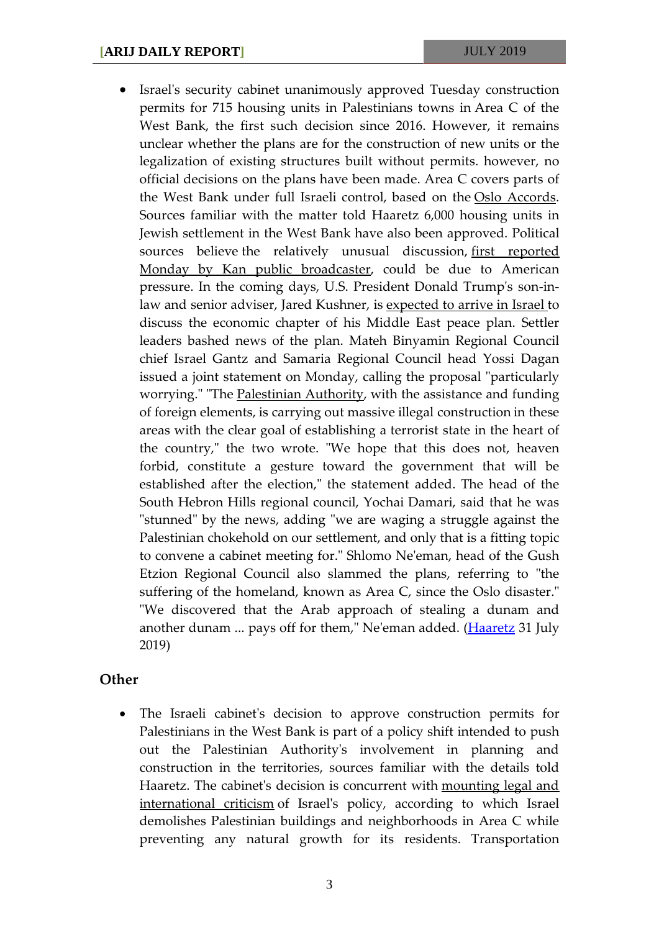• Israel's security cabinet unanimously approved Tuesday construction permits for 715 housing units in Palestinians towns in Area C of the West Bank, the first such decision since 2016. However, it remains unclear whether the plans are for the construction of new units or the legalization of existing structures built without permits. however, no official decisions on the plans have been made. Area C covers parts of the West Bank under full Israeli control, based on the [Oslo Accords.](https://www.haaretz.com/misc/tags/TAG-oslo-accords-1.5599064) Sources familiar with the matter told Haaretz 6,000 housing units in Jewish settlement in the West Bank have also been approved. Political sources believe the relatively unusual discussion, first reported [Monday by Kan public broadcaster,](https://www.haaretz.com/israel-news/.premium-israel-discuses-plans-to-build-settlements-palestinian-housing-units-in-area-c-1.7603765) could be due to American pressure. In the coming days, U.S. President Donald Trump's son-inlaw and senior adviser, Jared Kushner, is [expected to arrive in Israel](https://www.haaretz.com/us-news/.premium-kushner-other-senior-u-s-officials-to-visit-mideast-next-week-for-peace-plan-talks-1.7546451) to discuss the economic chapter of his Middle East peace plan. Settler leaders bashed news of the plan. Mateh Binyamin Regional Council chief Israel Gantz and Samaria Regional Council head Yossi Dagan issued a joint statement on Monday, calling the proposal "particularly worrying." "The [Palestinian Authority,](https://www.haaretz.com/misc/tags/TAG-palestinian-authority-1.5598923) with the assistance and funding of foreign elements, is carrying out massive illegal construction in these areas with the clear goal of establishing a terrorist state in the heart of the country," the two wrote. "We hope that this does not, heaven forbid, constitute a gesture toward the government that will be established after the election," the statement added. The head of the South Hebron Hills regional council, Yochai Damari, said that he was "stunned" by the news, adding "we are waging a struggle against the Palestinian chokehold on our settlement, and only that is a fitting topic to convene a cabinet meeting for." Shlomo Ne'eman, head of the Gush Etzion Regional Council also slammed the plans, referring to "the suffering of the homeland, known as Area C, since the Oslo disaster." "We discovered that the Arab approach of stealing a dunam and another dunam ... pays off for them," Ne'eman added. (*Haaretz* 31 July 2019)

#### **Other**

• The Israeli cabinet's decision to approve construction permits for Palestinians in the West Bank is part of a policy shift intended to push out the Palestinian Authority's involvement in planning and construction in the territories, sources familiar with the details told Haaretz. The cabinet's decision is concurrent with [mounting legal and](https://www.haaretz.com/israel-news/u-s-blocks-un-rebuke-of-israeli-demolition-of-palestinian-home-in-east-jerusalem-1.7571818)  [international criticism](https://www.haaretz.com/israel-news/u-s-blocks-un-rebuke-of-israeli-demolition-of-palestinian-home-in-east-jerusalem-1.7571818) of Israel's policy, according to which Israel demolishes Palestinian buildings and neighborhoods in Area C while preventing any natural growth for its residents. Transportation